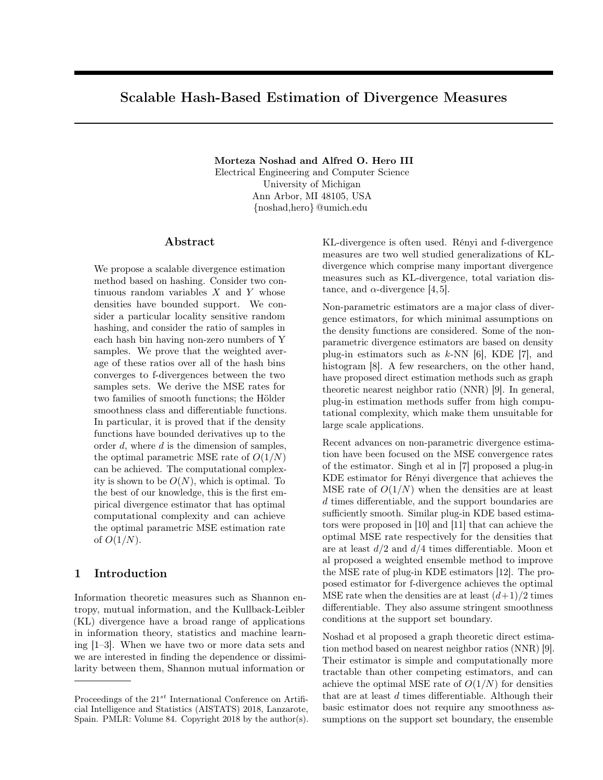# Scalable Hash-Based Estimation of Divergence Measures

Morteza Noshad and Alfred O. Hero III Electrical Engineering and Computer Science University of Michigan Ann Arbor, MI 48105, USA {noshad,hero} @umich.edu

#### Abstract

We propose a scalable divergence estimation method based on hashing. Consider two continuous random variables  $X$  and  $Y$  whose densities have bounded support. We consider a particular locality sensitive random hashing, and consider the ratio of samples in each hash bin having non-zero numbers of Y samples. We prove that the weighted average of these ratios over all of the hash bins converges to f-divergences between the two samples sets. We derive the MSE rates for two families of smooth functions; the Hölder smoothness class and differentiable functions. In particular, it is proved that if the density functions have bounded derivatives up to the order  $d$ , where  $d$  is the dimension of samples, the optimal parametric MSE rate of  $O(1/N)$ can be achieved. The computational complexity is shown to be  $O(N)$ , which is optimal. To the best of our knowledge, this is the first empirical divergence estimator that has optimal computational complexity and can achieve the optimal parametric MSE estimation rate of  $O(1/N)$ .

## 1 Introduction

Information theoretic measures such as Shannon entropy, mutual information, and the Kullback-Leibler (KL) divergence have a broad range of applications in information theory, statistics and machine learning [1–3]. When we have two or more data sets and we are interested in finding the dependence or dissimilarity between them, Shannon mutual information or

KL-divergence is often used. Rényi and f-divergence measures are two well studied generalizations of KLdivergence which comprise many important divergence measures such as KL-divergence, total variation distance, and  $\alpha$ -divergence [4, 5].

Non-parametric estimators are a major class of divergence estimators, for which minimal assumptions on the density functions are considered. Some of the nonparametric divergence estimators are based on density plug-in estimators such as  $k$ -NN [6], KDE [7], and histogram [8]. A few researchers, on the other hand, have proposed direct estimation methods such as graph theoretic nearest neighbor ratio (NNR) [9]. In general, plug-in estimation methods suffer from high computational complexity, which make them unsuitable for large scale applications.

Recent advances on non-parametric divergence estimation have been focused on the MSE convergence rates of the estimator. Singh et al in [7] proposed a plug-in KDE estimator for Rényi divergence that achieves the MSE rate of  $O(1/N)$  when the densities are at least d times differentiable, and the support boundaries are sufficiently smooth. Similar plug-in KDE based estimators were proposed in [10] and [11] that can achieve the optimal MSE rate respectively for the densities that are at least  $d/2$  and  $d/4$  times differentiable. Moon et al proposed a weighted ensemble method to improve the MSE rate of plug-in KDE estimators [12]. The proposed estimator for f-divergence achieves the optimal MSE rate when the densities are at least  $(d+1)/2$  times differentiable. They also assume stringent smoothness conditions at the support set boundary.

Noshad et al proposed a graph theoretic direct estimation method based on nearest neighbor ratios (NNR) [9]. Their estimator is simple and computationally more tractable than other competing estimators, and can achieve the optimal MSE rate of  $O(1/N)$  for densities that are at least d times differentiable. Although their basic estimator does not require any smoothness assumptions on the support set boundary, the ensemble

Proceedings of the  $21^{st}$  International Conference on Artificial Intelligence and Statistics (AISTATS) 2018, Lanzarote, Spain. PMLR: Volume 84. Copyright 2018 by the author(s).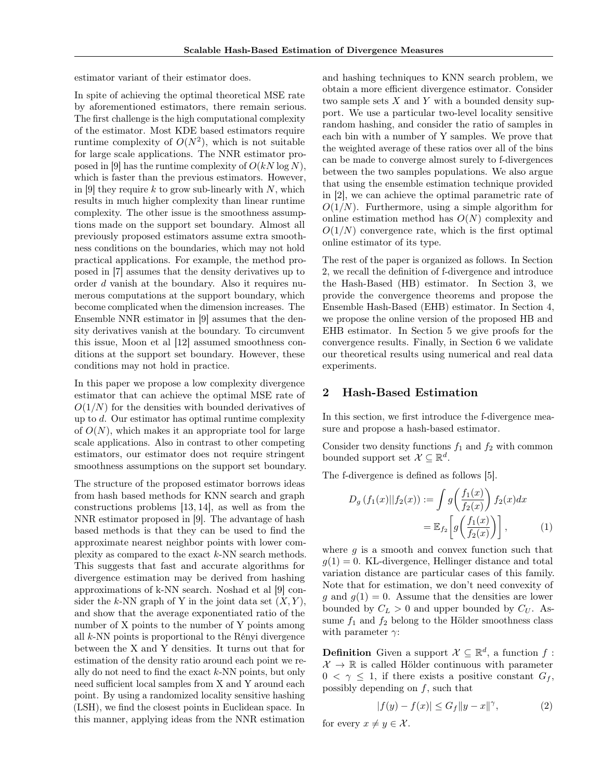estimator variant of their estimator does.

In spite of achieving the optimal theoretical MSE rate by aforementioned estimators, there remain serious. The first challenge is the high computational complexity of the estimator. Most KDE based estimators require runtime complexity of  $O(N^2)$ , which is not suitable for large scale applications. The NNR estimator proposed in [9] has the runtime complexity of  $O(kN \log N)$ , which is faster than the previous estimators. However, in [9] they require k to grow sub-linearly with  $N$ , which results in much higher complexity than linear runtime complexity. The other issue is the smoothness assumptions made on the support set boundary. Almost all previously proposed estimators assume extra smoothness conditions on the boundaries, which may not hold practical applications. For example, the method proposed in [7] assumes that the density derivatives up to order d vanish at the boundary. Also it requires numerous computations at the support boundary, which become complicated when the dimension increases. The Ensemble NNR estimator in [9] assumes that the density derivatives vanish at the boundary. To circumvent this issue, Moon et al [12] assumed smoothness conditions at the support set boundary. However, these conditions may not hold in practice.

In this paper we propose a low complexity divergence estimator that can achieve the optimal MSE rate of  $O(1/N)$  for the densities with bounded derivatives of up to d. Our estimator has optimal runtime complexity of  $O(N)$ , which makes it an appropriate tool for large scale applications. Also in contrast to other competing estimators, our estimator does not require stringent smoothness assumptions on the support set boundary.

The structure of the proposed estimator borrows ideas from hash based methods for KNN search and graph constructions problems [13, 14], as well as from the NNR estimator proposed in [9]. The advantage of hash based methods is that they can be used to find the approximate nearest neighbor points with lower complexity as compared to the exact k-NN search methods. This suggests that fast and accurate algorithms for divergence estimation may be derived from hashing approximations of k-NN search. Noshad et al [9] consider the k-NN graph of Y in the joint data set  $(X, Y)$ , and show that the average exponentiated ratio of the number of X points to the number of Y points among all k-NN points is proportional to the Rényi divergence between the X and Y densities. It turns out that for estimation of the density ratio around each point we really do not need to find the exact  $k$ -NN points, but only need sufficient local samples from X and Y around each point. By using a randomized locality sensitive hashing (LSH), we find the closest points in Euclidean space. In this manner, applying ideas from the NNR estimation

and hashing techniques to KNN search problem, we obtain a more efficient divergence estimator. Consider two sample sets  $X$  and  $Y$  with a bounded density support. We use a particular two-level locality sensitive random hashing, and consider the ratio of samples in each bin with a number of Y samples. We prove that the weighted average of these ratios over all of the bins can be made to converge almost surely to f-divergences between the two samples populations. We also argue that using the ensemble estimation technique provided in [2], we can achieve the optimal parametric rate of  $O(1/N)$ . Furthermore, using a simple algorithm for online estimation method has  $O(N)$  complexity and  $O(1/N)$  convergence rate, which is the first optimal online estimator of its type.

The rest of the paper is organized as follows. In Section 2, we recall the definition of f-divergence and introduce the Hash-Based (HB) estimator. In Section 3, we provide the convergence theorems and propose the Ensemble Hash-Based (EHB) estimator. In Section 4, we propose the online version of the proposed HB and EHB estimator. In Section 5 we give proofs for the convergence results. Finally, in Section 6 we validate our theoretical results using numerical and real data experiments.

### 2 Hash-Based Estimation

In this section, we first introduce the f-divergence measure and propose a hash-based estimator.

Consider two density functions  $f_1$  and  $f_2$  with common bounded support set  $\mathcal{X} \subseteq \mathbb{R}^d$ .

The f-divergence is defined as follows [5].

$$
D_g(f_1(x)||f_2(x)) := \int g\left(\frac{f_1(x)}{f_2(x)}\right) f_2(x) dx
$$

$$
= \mathbb{E}_{f_2}\left[g\left(\frac{f_1(x)}{f_2(x)}\right)\right],\tag{1}
$$

where  $q$  is a smooth and convex function such that  $g(1) = 0$ . KL-divergence, Hellinger distance and total variation distance are particular cases of this family. Note that for estimation, we don't need convexity of g and  $g(1) = 0$ . Assume that the densities are lower bounded by  $C_L > 0$  and upper bounded by  $C_U$ . Assume  $f_1$  and  $f_2$  belong to the Hölder smoothness class with parameter  $\gamma$ :

**Definition** Given a support  $\mathcal{X} \subseteq \mathbb{R}^d$ , a function f:  $\mathcal{X} \to \mathbb{R}$  is called Hölder continuous with parameter  $0 < \gamma \leq 1$ , if there exists a positive constant  $G_f$ , possibly depending on  $f$ , such that

$$
|f(y) - f(x)| \le G_f \|y - x\|^\gamma,
$$
 (2)

for every  $x \neq y \in \mathcal{X}$ .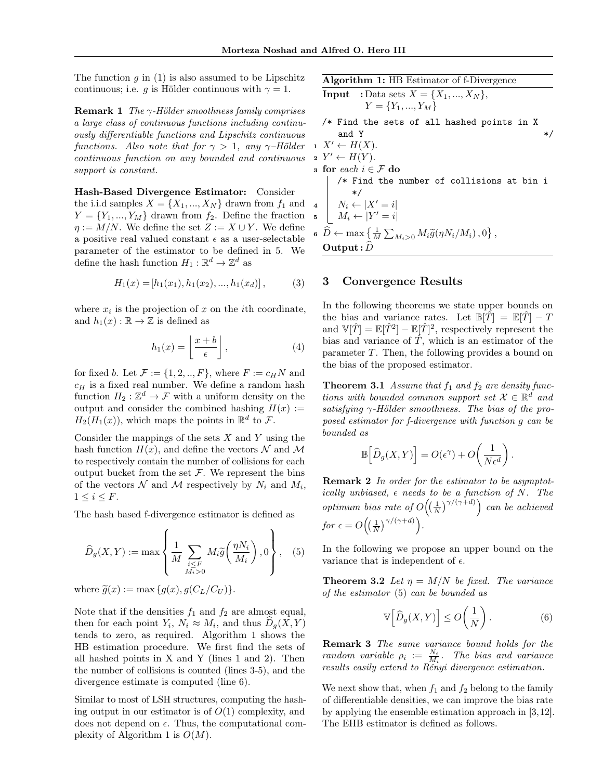The function  $q$  in (1) is also assumed to be Lipschitz continuous; i.e. g is Hölder continuous with  $\gamma = 1$ .

**Remark 1** The  $\gamma$ -Hölder smoothness family comprises a large class of continuous functions including continuously differentiable functions and Lipschitz continuous functions. Also note that for  $\gamma > 1$ , any  $\gamma$ -Hölder continuous function on any bounded and continuous support is constant.

Hash-Based Divergence Estimator: Consider the i.i.d samples  $X = \{X_1, ..., X_N\}$  drawn from  $f_1$  and  $Y = \{Y_1, ..., Y_M\}$  drawn from  $f_2$ . Define the fraction  $\eta := M/N$ . We define the set  $Z := X \cup Y$ . We define a positive real valued constant  $\epsilon$  as a user-selectable parameter of the estimator to be defined in 5. We define the hash function  $H_1: \mathbb{R}^d \to \mathbb{Z}^d$  as

$$
H_1(x) = [h_1(x_1), h_1(x_2), ..., h_1(x_d)], \qquad (3)
$$

where  $x_i$  is the projection of x on the *i*th coordinate, and  $h_1(x): \mathbb{R} \to \mathbb{Z}$  is defined as

$$
h_1(x) = \left\lfloor \frac{x+b}{\epsilon} \right\rfloor, \tag{4}
$$

for fixed b. Let  $\mathcal{F} := \{1, 2, ..., F\}$ , where  $F := c_H N$  and  $c_H$  is a fixed real number. We define a random hash function  $H_2: \mathbb{Z}^d \to \mathcal{F}$  with a uniform density on the output and consider the combined hashing  $H(x) :=$  $H_2(H_1(x))$ , which maps the points in  $\mathbb{R}^d$  to  $\mathcal{F}$ .

Consider the mappings of the sets  $X$  and  $Y$  using the hash function  $H(x)$ , and define the vectors N and M to respectively contain the number of collisions for each output bucket from the set  $F$ . We represent the bins of the vectors  $N$  and  $M$  respectively by  $N_i$  and  $M_i$ ,  $1 \leq i \leq F$ .

The hash based f-divergence estimator is defined as

$$
\widehat{D}_g(X,Y) := \max \left\{ \frac{1}{M} \sum_{\substack{i \leq F \\ M_i > 0}} M_i \widetilde{g}\left(\frac{\eta N_i}{M_i}\right), 0 \right\}, \quad (5)
$$

where  $\widetilde{g}(x) := \max\{g(x), g(C_L/C_U)\}.$ 

Note that if the densities  $f_1$  and  $f_2$  are almost equal, then for each point  $Y_i$ ,  $N_i \approx M_i$ , and thus  $D_g(X, Y)$ tends to zero, as required. Algorithm 1 shows the HB estimation procedure. We first find the sets of all hashed points in X and Y (lines 1 and 2). Then the number of collisions is counted (lines 3-5), and the divergence estimate is computed (line 6).

Similar to most of LSH structures, computing the hashing output in our estimator is of  $O(1)$  complexity, and does not depend on  $\epsilon$ . Thus, the computational complexity of Algorithm 1 is  $O(M)$ .

Algorithm 1: HB Estimator of f-Divergence  
\nInput : Data sets 
$$
X = \{X_1, ..., X_N\}
$$
,  
\n $Y = \{Y_1, ..., Y_M\}$   
\n/\* Find the sets of all hashed points in X  
\nand Y  
\n1  $X' \leftarrow H(X)$ .  
\n2  $Y' \leftarrow H(Y)$ .  
\n3 for each  $i \in \mathcal{F}$  do  
\n/\* Find the number of collisions at bin i  
\n\*/  
\n4  $N_i \leftarrow |X' = i|$   
\n5  $M_i \leftarrow |Y' = i|$   
\n6  $\widehat{D} \leftarrow \max \{\frac{1}{M} \sum_{M_i > 0} M_i \widetilde{g}(\eta N_i/M_i), 0\}$ ,

3 Convergence Results

 $\textbf{Output}: D \text{ }$ 

In the following theorems we state upper bounds on the bias and variance rates. Let  $\mathbb{B}[T] = \mathbb{E}[T] - T$ and  $\mathbb{V}[\hat{T}] = \mathbb{E}[\hat{T}^2] - \mathbb{E}[\hat{T}]^2$ , respectively represent the bias and variance of  $\hat{T}$ , which is an estimator of the parameter T. Then, the following provides a bound on the bias of the proposed estimator.

**Theorem 3.1** Assume that  $f_1$  and  $f_2$  are density functions with bounded common support set  $\mathcal{X} \in \mathbb{R}^d$  and satisfying  $\gamma$ -Hölder smoothness. The bias of the proposed estimator for f-divergence with function g can be bounded as

$$
\mathbb{B}\Big[\widehat{D}_g(X,Y)\Big] = O(\epsilon^{\gamma}) + O\bigg(\frac{1}{N\epsilon^d}\bigg).
$$

Remark 2 In order for the estimator to be asymptotically unbiased,  $\epsilon$  needs to be a function of N. The optimum bias rate of  $O((\frac{1}{N})^{\gamma/(\gamma+d)})$  can be achieved for  $\epsilon = O\left(\left(\frac{1}{N}\right)^{\gamma/(\gamma+d)}\right)$ .

In the following we propose an upper bound on the variance that is independent of  $\epsilon$ .

**Theorem 3.2** Let  $\eta = M/N$  be fixed. The variance of the estimator (5) can be bounded as

$$
\mathbb{V}\Big[\widehat{D}_g(X,Y)\Big] \le O\bigg(\frac{1}{N}\bigg). \tag{6}
$$

Remark 3 The same variance bound holds for the random variable  $\rho_i := \frac{N_i}{M_i}$ . The bias and variance results easily extend to Rényi divergence estimation.

We next show that, when  $f_1$  and  $f_2$  belong to the family of differentiable densities, we can improve the bias rate by applying the ensemble estimation approach in [3,12]. The EHB estimator is defined as follows.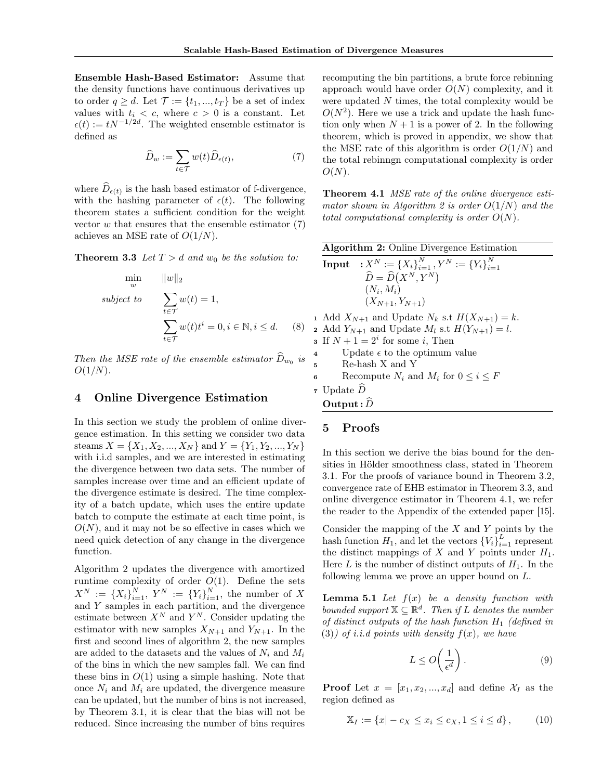Ensemble Hash-Based Estimator: Assume that the density functions have continuous derivatives up to order  $q \geq d$ . Let  $\mathcal{T} := \{t_1, ..., t_T\}$  be a set of index values with  $t_i < c$ , where  $c > 0$  is a constant. Let  $\epsilon(t) := tN^{-1/2d}$ . The weighted ensemble estimator is defined as

$$
\widehat{D}_w := \sum_{t \in \mathcal{T}} w(t) \widehat{D}_{\epsilon(t)},\tag{7}
$$

where  $D_{\epsilon(t)}$  is the hash based estimator of f-divergence, with the hashing parameter of  $\epsilon(t)$ . The following theorem states a sufficient condition for the weight vector  $w$  that ensures that the ensemble estimator  $(7)$ achieves an MSE rate of  $O(1/N)$ .

**Theorem 3.3** Let  $T > d$  and  $w_0$  be the solution to:

$$
\min_{w} \quad ||w||_2
$$
\n
$$
subject\ to \quad \sum_{t \in \mathcal{T}} w(t) = 1,
$$
\n
$$
\sum_{t \in \mathcal{T}} w(t)t^i = 0, i \in \mathbb{N}, i \leq d. \quad (8)
$$

Then the MSE rate of the ensemble estimator  $D_{w_0}$  is  $O(1/N)$ .

#### 4 Online Divergence Estimation

In this section we study the problem of online divergence estimation. In this setting we consider two data steams  $X = \{X_1, X_2, ..., X_N\}$  and  $Y = \{Y_1, Y_2, ..., Y_N\}$ with i.i.d samples, and we are interested in estimating the divergence between two data sets. The number of samples increase over time and an efficient update of the divergence estimate is desired. The time complexity of a batch update, which uses the entire update batch to compute the estimate at each time point, is  $O(N)$ , and it may not be so effective in cases which we need quick detection of any change in the divergence function.

Algorithm 2 updates the divergence with amortized runtime complexity of order  $O(1)$ . Define the sets  $X^N := \{X_i\}_{i=1}^N, Y^N := \{Y_i\}_{i=1}^N$ , the number of X and Y samples in each partition, and the divergence estimate between  $X^N$  and  $Y^N$ . Consider updating the estimator with new samples  $X_{N+1}$  and  $Y_{N+1}$ . In the first and second lines of algorithm 2, the new samples are added to the datasets and the values of  $N_i$  and  $M_i$ of the bins in which the new samples fall. We can find these bins in  $O(1)$  using a simple hashing. Note that once  $N_i$  and  $M_i$  are updated, the divergence measure can be updated, but the number of bins is not increased, by Theorem 3.1, it is clear that the bias will not be reduced. Since increasing the number of bins requires

recomputing the bin partitions, a brute force rebinning approach would have order  $O(N)$  complexity, and it were updated N times, the total complexity would be  $O(N^2)$ . Here we use a trick and update the hash function only when  $N + 1$  is a power of 2. In the following theorem, which is proved in appendix, we show that the MSE rate of this algorithm is order  $O(1/N)$  and the total rebinngn computational complexity is order  $O(N)$ .

Theorem 4.1 MSE rate of the online divergence estimator shown in Algorithm 2 is order  $O(1/N)$  and the total computational complexity is order  $O(N)$ .

|                         | <b>Algorithm 2:</b> Online Divergence Estimation                |  |  |  |  |  |
|-------------------------|-----------------------------------------------------------------|--|--|--|--|--|
|                         | <b>Input</b> $: X^N := \{X_i\}_{i=1}^N, Y^N := \{Y_i\}_{i=1}^N$ |  |  |  |  |  |
|                         | $\widehat{D} = \widehat{D}(X^N, Y^N)$                           |  |  |  |  |  |
|                         | $(N_i, M_i)$                                                    |  |  |  |  |  |
|                         | $(X_{N+1}, Y_{N+1})$                                            |  |  |  |  |  |
|                         | 1 Add $X_{N+1}$ and Update $N_k$ s.t $H(X_{N+1}) = k$ .         |  |  |  |  |  |
|                         | 2 Add $Y_{N+1}$ and Update $M_l$ s.t $H(Y_{N+1}) = l$ .         |  |  |  |  |  |
|                         | <b>3</b> If $N + 1 = 2^i$ for some <i>i</i> , Then              |  |  |  |  |  |
| $\overline{\mathbf{4}}$ | Update $\epsilon$ to the optimum value                          |  |  |  |  |  |
|                         | 5 Re-hash X and Y                                               |  |  |  |  |  |
| 6                       | Recompute $N_i$ and $M_i$ for $0 \le i \le F$                   |  |  |  |  |  |
|                         | 7 Update $\ddot{D}$                                             |  |  |  |  |  |
|                         | Output: $\hat{D}$                                               |  |  |  |  |  |

## 5 Proofs

In this section we derive the bias bound for the densities in Hölder smoothness class, stated in Theorem 3.1. For the proofs of variance bound in Theorem 3.2, convergence rate of EHB estimator in Theorem 3.3, and online divergence estimator in Theorem 4.1, we refer the reader to the Appendix of the extended paper [15].

Consider the mapping of the  $X$  and  $Y$  points by the hash function  $H_1$ , and let the vectors  $\{V_i\}_{i=1}^L$  represent the distinct mappings of  $X$  and  $Y$  points under  $H_1$ . Here L is the number of distinct outputs of  $H_1$ . In the following lemma we prove an upper bound on L.

**Lemma 5.1** Let  $f(x)$  be a density function with bounded support  $X \subseteq \mathbb{R}^d$ . Then if L denotes the number of distinct outputs of the hash function  $H_1$  (defined in (3)) of i.i.d points with density  $f(x)$ , we have

$$
L \le O\left(\frac{1}{\epsilon^d}\right). \tag{9}
$$

**Proof** Let  $x = [x_1, x_2, ..., x_d]$  and define  $\mathcal{X}_I$  as the region defined as

$$
\mathbb{X}_I := \{ x | -c_X \le x_i \le c_X, 1 \le i \le d \},\tag{10}
$$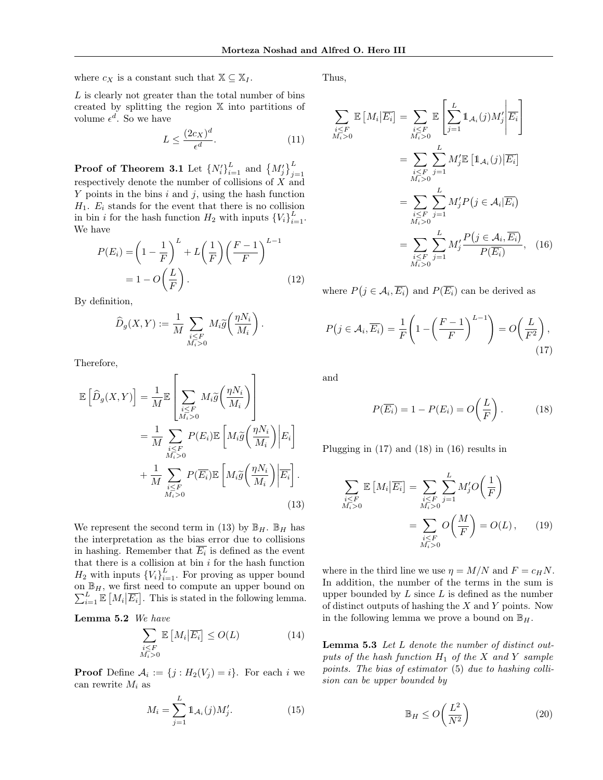where  $c_X$  is a constant such that  $\mathbb{X} \subseteq \mathbb{X}_I$ .

Thus,

 $L$  is clearly not greater than the total number of bins created by splitting the region X into partitions of volume  $\epsilon^d$ . So we have

$$
L \le \frac{(2c_X)^d}{\epsilon^d}.\tag{11}
$$

**Proof of Theorem 3.1** Let  $\{N_i'\}_{i=1}^L$  and  $\{M_j'\}_{j=1}^L$ respectively denote the number of collisions of  $X$  and Y points in the bins  $i$  and  $j$ , using the hash function  $H_1$ .  $E_i$  stands for the event that there is no collision in bin *i* for the hash function  $H_2$  with inputs  $\{V_i\}_{i=1}^L$ . We have

$$
P(E_i) = \left(1 - \frac{1}{F}\right)^L + L\left(\frac{1}{F}\right)\left(\frac{F-1}{F}\right)^{L-1}
$$

$$
= 1 - O\left(\frac{L}{F}\right). \tag{12}
$$

By definition,

$$
\widehat{D}_g(X,Y) := \frac{1}{M} \sum_{\substack{i \leq F \\ M_i > 0}} M_i \widetilde{g}\left(\frac{\eta N_i}{M_i}\right).
$$

Therefore,

$$
\mathbb{E}\left[\widehat{D}_{g}(X,Y)\right] = \frac{1}{M}\mathbb{E}\left[\sum_{\substack{i\leq F\\M_i>0}} M_i\widetilde{g}\left(\frac{\eta N_i}{M_i}\right)\right]
$$

$$
= \frac{1}{M}\sum_{\substack{i\leq F\\M_i>0}} P(E_i)\mathbb{E}\left[M_i\widetilde{g}\left(\frac{\eta N_i}{M_i}\right)\middle|E_i\right]
$$

$$
+ \frac{1}{M}\sum_{\substack{i\leq F\\M_i>0}} P(\overline{E_i})\mathbb{E}\left[M_i\widetilde{g}\left(\frac{\eta N_i}{M_i}\right)\middle|\overline{E_i}\right].
$$
(13)

We represent the second term in (13) by  $\mathbb{B}_H$ .  $\mathbb{B}_H$  has the interpretation as the bias error due to collisions in hashing. Remember that  $E_i$  is defined as the event that there is a collision at bin  $i$  for the hash function  $H_2$  with inputs  ${V_i}_{i=1}^L$ . For proving as upper bound on  $\mathbb{B}_H$ , we first need to compute an upper bound on  $\sum_{i=1}^{L} \mathbb{E}\left[M_i \big| \overline{E_i}\right]$ . This is stated in the following lemma.

Lemma 5.2 We have

$$
\sum_{\substack{i \leq F \\ M_i > 0}} \mathbb{E}\left[M_i \middle| \overline{E_i}\right] \leq O(L) \tag{14}
$$

**Proof** Define  $A_i := \{j : H_2(V_j) = i\}$ . For each i we can rewrite  $M_i$  as

$$
M_i = \sum_{j=1}^{L} \mathbb{1}_{\mathcal{A}_i}(j) M'_j.
$$
 (15)

$$
\sum_{\substack{i \leq F \\ M_i > 0}} \mathbb{E}\left[M_i | \overline{E_i}\right] = \sum_{\substack{i \leq F \\ M_i > 0}} \mathbb{E}\left[\sum_{j=1}^L \mathbb{1}_{\mathcal{A}_i}(j) M'_j | \overline{E_i}\right]
$$
\n
$$
= \sum_{\substack{i \leq F \\ M_i > 0}} \sum_{j=1}^L M'_j \mathbb{E}\left[\mathbb{1}_{\mathcal{A}_i}(j) | \overline{E_i}\right]
$$
\n
$$
= \sum_{\substack{i \leq F \\ M_i > 0}} \sum_{j=1}^L M'_j P(j \in \mathcal{A}_i | \overline{E_i})
$$
\n
$$
= \sum_{\substack{i \leq F \\ M_i > 0}} \sum_{j=1}^L M'_j \frac{P(j \in \mathcal{A}_i, \overline{E_i})}{P(\overline{E_i})}, \quad (16)
$$

where  $P(j \in \mathcal{A}_i, \overline{E_i})$  and  $P(\overline{E_i})$  can be derived as

$$
P(j \in \mathcal{A}_i, \overline{E_i}) = \frac{1}{F} \left( 1 - \left( \frac{F - 1}{F} \right)^{L - 1} \right) = O\left( \frac{L}{F^2} \right),\tag{17}
$$

and

$$
P(\overline{E_i}) = 1 - P(E_i) = O\left(\frac{L}{F}\right). \tag{18}
$$

Plugging in (17) and (18) in (16) results in

$$
\sum_{\substack{i \leq F \\ M_i > 0}} \mathbb{E}\left[M_i | \overline{E_i}\right] = \sum_{\substack{i \leq F \\ M_i > 0}} \sum_{j=1}^{L} M'_j O\left(\frac{1}{F}\right)
$$
\n
$$
= \sum_{\substack{i \leq F \\ M_i > 0}} O\left(\frac{M}{F}\right) = O(L), \qquad (19)
$$

where in the third line we use  $\eta = M/N$  and  $F = c_H N$ . In addition, the number of the terms in the sum is upper bounded by  $L$  since  $L$  is defined as the number of distinct outputs of hashing the  $X$  and  $Y$  points. Now in the following lemma we prove a bound on  $\mathbb{B}_H$ .

Lemma 5.3 Let L denote the number of distinct outputs of the hash function  $H_1$  of the X and Y sample points. The bias of estimator (5) due to hashing collision can be upper bounded by

$$
\mathbb{B}_H \le O\left(\frac{L^2}{N^2}\right) \tag{20}
$$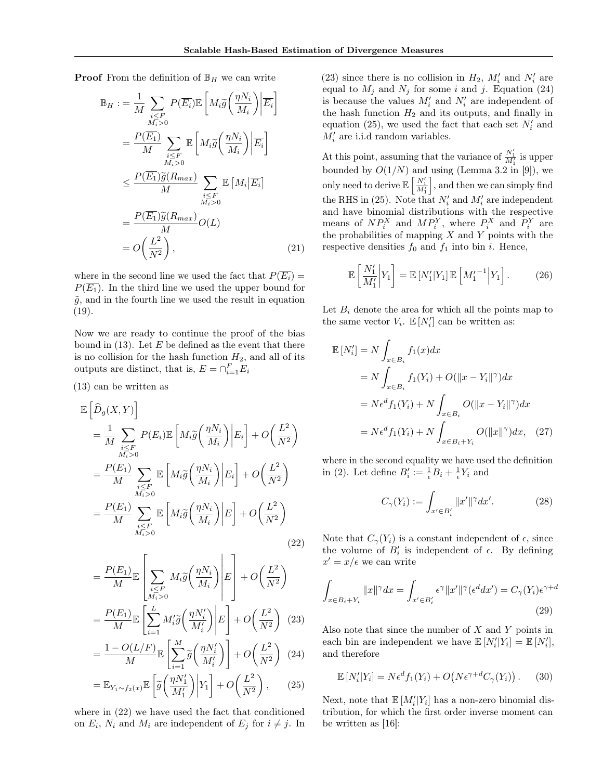**Proof** From the definition of  $\mathbb{B}_H$  we can write

$$
\mathbb{B}_{H} := \frac{1}{M} \sum_{\substack{i \leq F \\ M_i > 0}} P(\overline{E_i}) \mathbb{E} \left[ M_i \widetilde{g} \left( \frac{\eta N_i}{M_i} \right) \middle| \overline{E_i} \right]
$$

$$
= \frac{P(\overline{E_1})}{M} \sum_{\substack{i \leq F \\ M_i > 0}} \mathbb{E} \left[ M_i \widetilde{g} \left( \frac{\eta N_i}{M_i} \right) \middle| \overline{E_i} \right]
$$

$$
\leq \frac{P(\overline{E_1}) \widetilde{g}(R_{max})}{M} \sum_{\substack{i \leq F \\ M_i > 0}} \mathbb{E} \left[ M_i \middle| \overline{E_i} \right]
$$

$$
= \frac{P(\overline{E_1}) \widetilde{g}(R_{max})}{M} O(L)
$$

$$
= O\left( \frac{L^2}{N^2} \right), \tag{21}
$$

where in the second line we used the fact that  $P(\overline{E_i}) =$  $P(\overline{E_1})$ . In the third line we used the upper bound for  $\tilde{g}$ , and in the fourth line we used the result in equation  $(19).$ 

Now we are ready to continue the proof of the bias bound in  $(13)$ . Let E be defined as the event that there is no collision for the hash function  $H_2$ , and all of its outputs are distinct, that is,  $E = \bigcap_{i=1}^{F} E_i$ 

(13) can be written as

$$
\mathbb{E}\left[\hat{D}_{g}(X,Y)\right] \n= \frac{1}{M} \sum_{\substack{i \leq F \\ M_i > 0}} P(E_i) \mathbb{E}\left[M_i \tilde{g}\left(\frac{\eta N_i}{M_i}\right) \middle| E_i\right] + O\left(\frac{L^2}{N^2}\right) \n= \frac{P(E_1)}{M} \sum_{\substack{i \leq F \\ M_i > 0}} \mathbb{E}\left[M_i \tilde{g}\left(\frac{\eta N_i}{M_i}\right) \middle| E_i\right] + O\left(\frac{L^2}{N^2}\right) \n= \frac{P(E_1)}{M} \sum_{\substack{i \leq F \\ M_i > 0}} \mathbb{E}\left[M_i \tilde{g}\left(\frac{\eta N_i}{M_i}\right) \middle| E\right] + O\left(\frac{L^2}{N^2}\right)
$$
\n(22)

$$
= \frac{P(E_1)}{M} \mathbb{E} \left[ \sum_{\substack{i \leq F \\ M_i > 0}} M_i \widetilde{g} \left( \frac{\eta N_i}{M_i} \right) \middle| E \right] + O \left( \frac{L^2}{N^2} \right)
$$

$$
= \frac{P(E_1)}{M} \mathbb{E} \left[ \sum_{i=1}^{L} M_i' \widetilde{g} \left( \frac{\eta N_i'}{M_i'} \right) \middle| E \right] + O \left( \frac{L^2}{N^2} \right) (23)
$$

$$
= \frac{1 - O(L/F)}{M} \mathbb{E}\left[\sum_{i=1}^{M} \widetilde{g}\left(\frac{\eta N_i'}{M_i'}\right)\right] + O\left(\frac{L^2}{N^2}\right) \tag{24}
$$

$$
= \mathbb{E}_{Y_1 \sim f_2(x)} \mathbb{E}\left[\widetilde{g}\left(\frac{\eta N_1}{M_1'}\right) \Big| Y_1\right] + O\left(\frac{L}{N^2}\right),\tag{25}
$$

where in (22) we have used the fact that conditioned on  $E_i$ ,  $N_i$  and  $M_i$  are independent of  $E_j$  for  $i \neq j$ . In

(23) since there is no collision in  $H_2$ ,  $M'_i$  and  $N'_i$  are equal to  $M_j$  and  $N_j$  for some i and j. Equation (24) is because the values  $M_i'$  and  $N_i'$  are independent of the hash function  $H_2$  and its outputs, and finally in equation (25), we used the fact that each set  $N_i'$  and  $M'_i$  are i.i.d random variables.

At this point, assuming that the variance of  $\frac{N_1'}{M_1'}$  is upper bounded by  $O(1/N)$  and using (Lemma 3.2 in [9]), we only need to derive  $\mathbb{E}\left[\frac{N_1'}{M_1'}\right]$ , and then we can simply find the RHS in (25). Note that  $N_i'$  and  $M_i'$  are independent and have binomial distributions with the respective means of  $NP_i^X$  and  $MP_i^Y$ , where  $P_i^X$  and  $P_i^Y$  are the probabilities of mapping  $X$  and  $Y$  points with the respective densities  $f_0$  and  $f_1$  into bin *i*. Hence,

$$
\mathbb{E}\left[\frac{N_1'}{M_1'}\bigg|Y_1\right] = \mathbb{E}\left[N_1'\middle|Y_1\right]\mathbb{E}\left[M_1'\right]^{-1}\bigg|Y_1\right].\tag{26}
$$

Let  $B_i$  denote the area for which all the points map to the same vector  $V_i$ .  $\mathbb{E}[N'_i]$  can be written as:

$$
\mathbb{E}[N_i'] = N \int_{x \in B_i} f_1(x) dx
$$
  
\n
$$
= N \int_{x \in B_i} f_1(Y_i) + O(||x - Y_i||^{\gamma}) dx
$$
  
\n
$$
= N \epsilon^d f_1(Y_i) + N \int_{x \in B_i} O(||x - Y_i||^{\gamma}) dx
$$
  
\n
$$
= N \epsilon^d f_1(Y_i) + N \int_{x \in B_i + Y_i} O(||x||^{\gamma}) dx, \quad (27)
$$

where in the second equality we have used the definition in (2). Let define  $B_i' := \frac{1}{\epsilon} B_i + \frac{1}{\epsilon} Y_i$  and

$$
C_{\gamma}(Y_i) := \int_{x' \in B_i'} \|x'\|^{\gamma} dx'. \tag{28}
$$

Note that  $C_{\gamma}(Y_i)$  is a constant independent of  $\epsilon$ , since the volume of  $B_i'$  is independent of  $\epsilon$ . By defining  $x' = x/\epsilon$  we can write

$$
\int_{x \in B_i + Y_i} \|x\|^{\gamma} dx = \int_{x' \in B_i'} \epsilon^{\gamma} \|x'\|^{\gamma} (\epsilon^d dx') = C_{\gamma}(Y_i) \epsilon^{\gamma + d}
$$
\n(29)

Also note that since the number of  $X$  and  $Y$  points in each bin are independent we have  $\mathbb{E}[N_i'|Y_i] = \mathbb{E}[N_i']$ , and therefore

$$
\mathbb{E}\left[N'_i|Y_i\right] = N\epsilon^d f_1(Y_i) + O\big(N\epsilon^{\gamma+d}C_\gamma(Y_i)\big)\,. \tag{30}
$$

Next, note that  $\mathbb{E}[M_i'|Y_i]$  has a non-zero binomial distribution, for which the first order inverse moment can be written as [16]: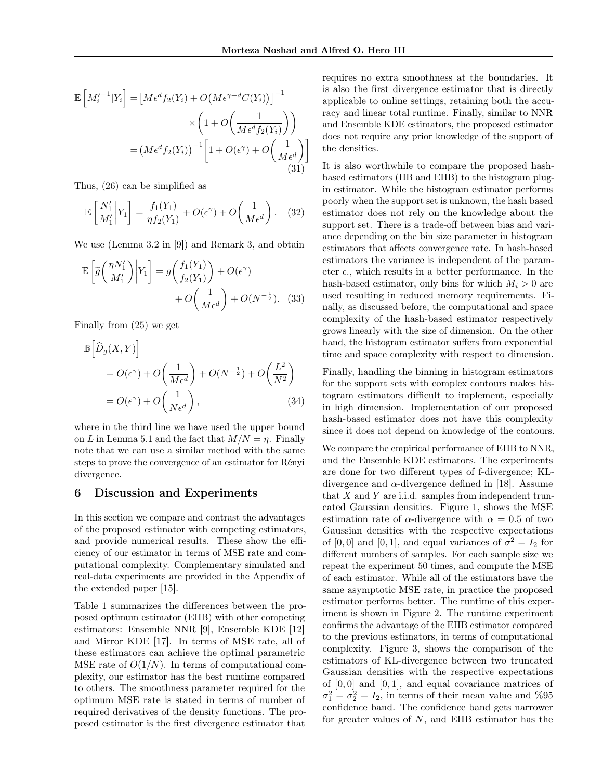$$
\mathbb{E}\left[M_i'^{-1}|Y_i\right] = \left[M\epsilon^d f_2(Y_i) + O\left(M\epsilon^{\gamma+d} C(Y_i)\right)\right]^{-1} \times \left(1 + O\left(\frac{1}{M\epsilon^d f_2(Y_i)}\right)\right)
$$

$$
= \left(M\epsilon^d f_2(Y_i)\right)^{-1} \left[1 + O(\epsilon^{\gamma}) + O\left(\frac{1}{M\epsilon^d}\right)\right]
$$
(31)

Thus, (26) can be simplified as

$$
\mathbb{E}\left[\frac{N_1'}{M_1'}\bigg|Y_1\right] = \frac{f_1(Y_1)}{\eta f_2(Y_1)} + O(\epsilon^{\gamma}) + O\left(\frac{1}{M\epsilon^d}\right). \quad (32)
$$

We use (Lemma 3.2 in [9]) and Remark 3, and obtain

$$
\mathbb{E}\left[\widetilde{g}\left(\frac{\eta N_1'}{M_1'}\right)\middle|Y_1\right] = g\left(\frac{f_1(Y_1)}{f_2(Y_1)}\right) + O(\epsilon^{\gamma}) + O\left(\frac{1}{M\epsilon^d}\right) + O(N^{-\frac{1}{2}}). \tag{33}
$$

Finally from (25) we get

$$
\mathbb{B}\left[\hat{D}_g(X,Y)\right] \n= O(\epsilon^{\gamma}) + O\left(\frac{1}{M\epsilon^d}\right) + O(N^{-\frac{1}{2}}) + O\left(\frac{L^2}{N^2}\right) \n= O(\epsilon^{\gamma}) + O\left(\frac{1}{N\epsilon^d}\right),
$$
\n(34)

where in the third line we have used the upper bound on L in Lemma 5.1 and the fact that  $M/N = \eta$ . Finally note that we can use a similar method with the same steps to prove the convergence of an estimator for Rényi divergence.

#### 6 Discussion and Experiments

In this section we compare and contrast the advantages of the proposed estimator with competing estimators, and provide numerical results. These show the efficiency of our estimator in terms of MSE rate and computational complexity. Complementary simulated and real-data experiments are provided in the Appendix of the extended paper [15].

Table 1 summarizes the differences between the proposed optimum estimator (EHB) with other competing estimators: Ensemble NNR [9], Ensemble KDE [12] and Mirror KDE [17]. In terms of MSE rate, all of these estimators can achieve the optimal parametric MSE rate of  $O(1/N)$ . In terms of computational complexity, our estimator has the best runtime compared to others. The smoothness parameter required for the optimum MSE rate is stated in terms of number of required derivatives of the density functions. The proposed estimator is the first divergence estimator that

requires no extra smoothness at the boundaries. It is also the first divergence estimator that is directly applicable to online settings, retaining both the accuracy and linear total runtime. Finally, similar to NNR and Ensemble KDE estimators, the proposed estimator does not require any prior knowledge of the support of the densities.

It is also worthwhile to compare the proposed hashbased estimators (HB and EHB) to the histogram plugin estimator. While the histogram estimator performs poorly when the support set is unknown, the hash based estimator does not rely on the knowledge about the support set. There is a trade-off between bias and variance depending on the bin size parameter in histogram estimators that affects convergence rate. In hash-based estimators the variance is independent of the parameter  $\epsilon$ , which results in a better performance. In the hash-based estimator, only bins for which  $M_i > 0$  are used resulting in reduced memory requirements. Finally, as discussed before, the computational and space complexity of the hash-based estimator respectively grows linearly with the size of dimension. On the other hand, the histogram estimator suffers from exponential time and space complexity with respect to dimension.

Finally, handling the binning in histogram estimators for the support sets with complex contours makes histogram estimators difficult to implement, especially in high dimension. Implementation of our proposed hash-based estimator does not have this complexity since it does not depend on knowledge of the contours.

We compare the empirical performance of EHB to NNR, and the Ensemble KDE estimators. The experiments are done for two different types of f-divergence; KLdivergence and  $\alpha$ -divergence defined in [18]. Assume that X and Y are i.i.d. samples from independent truncated Gaussian densities. Figure 1, shows the MSE estimation rate of  $\alpha$ -divergence with  $\alpha = 0.5$  of two Gaussian densities with the respective expectations of [0, 0] and [0, 1], and equal variances of  $\sigma^2 = I_2$  for different numbers of samples. For each sample size we repeat the experiment 50 times, and compute the MSE of each estimator. While all of the estimators have the same asymptotic MSE rate, in practice the proposed estimator performs better. The runtime of this experiment is shown in Figure 2. The runtime experiment confirms the advantage of the EHB estimator compared to the previous estimators, in terms of computational complexity. Figure 3, shows the comparison of the estimators of KL-divergence between two truncated Gaussian densities with the respective expectations of  $[0, 0]$  and  $[0, 1]$ , and equal covariance matrices of  $\sigma_1^2 = \sigma_2^2 = I_2$ , in terms of their mean value and %95 confidence band. The confidence band gets narrower for greater values of  $N$ , and EHB estimator has the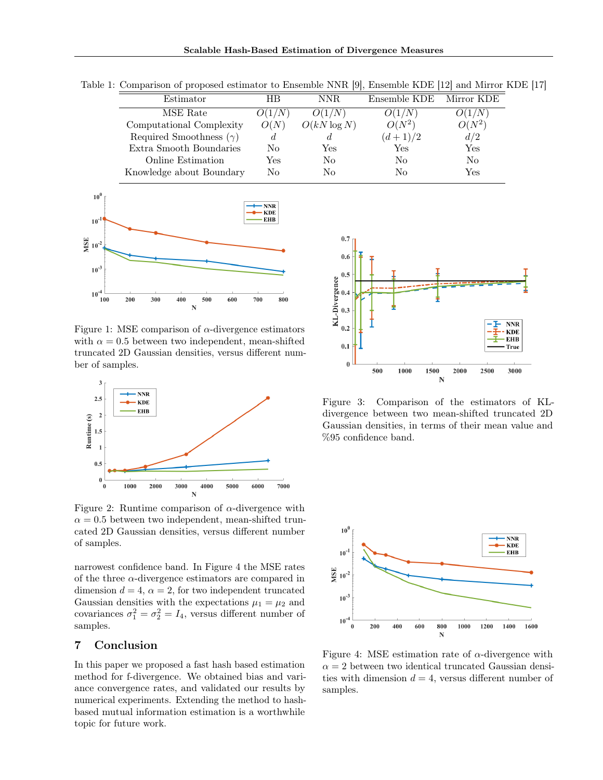| Estimator                      | ΗR     | NNR.           | Ensemble KDE | Mirror KDE |
|--------------------------------|--------|----------------|--------------|------------|
| MSE Rate                       | O(1/N) | O(1/N)         | O(1/N)       | O(1/N)     |
| Computational Complexity       | O(N)   | $O(kN \log N)$ | $O(N^2)$     | $O(N^2)$   |
| Required Smoothness $(\gamma)$ | đ.     |                | $(d+1)/2$    | d/2        |
| Extra Smooth Boundaries        | No     | Yes            | Yes          | Yes        |
| Online Estimation              | Yes    | No             | No           | No         |
| Knowledge about Boundary       | No     | Nο             | No           | Yes        |

Table 1: Comparison of proposed estimator to Ensemble NNR [9], Ensemble KDE [12] and Mirror KDE [17]



Figure 1: MSE comparison of  $\alpha$ -divergence estimators with  $\alpha = 0.5$  between two independent, mean-shifted truncated 2D Gaussian densities, versus different number of samples.



Figure 2: Runtime comparison of  $\alpha$ -divergence with  $\alpha = 0.5$  between two independent, mean-shifted truncated 2D Gaussian densities, versus different number of samples.

narrowest confidence band. In Figure 4 the MSE rates of the three  $\alpha$ -divergence estimators are compared in dimension  $d = 4$ ,  $\alpha = 2$ , for two independent truncated Gaussian densities with the expectations  $\mu_1 = \mu_2$  and covariances  $\sigma_1^2 = \sigma_2^2 = I_4$ , versus different number of samples.

## 7 Conclusion

In this paper we proposed a fast hash based estimation method for f-divergence. We obtained bias and variance convergence rates, and validated our results by numerical experiments. Extending the method to hashbased mutual information estimation is a worthwhile topic for future work.



Figure 3: Comparison of the estimators of KLdivergence between two mean-shifted truncated 2D Gaussian densities, in terms of their mean value and %95 confidence band.



Figure 4: MSE estimation rate of  $\alpha$ -divergence with  $\alpha = 2$  between two identical truncated Gaussian densities with dimension  $d = 4$ , versus different number of samples.